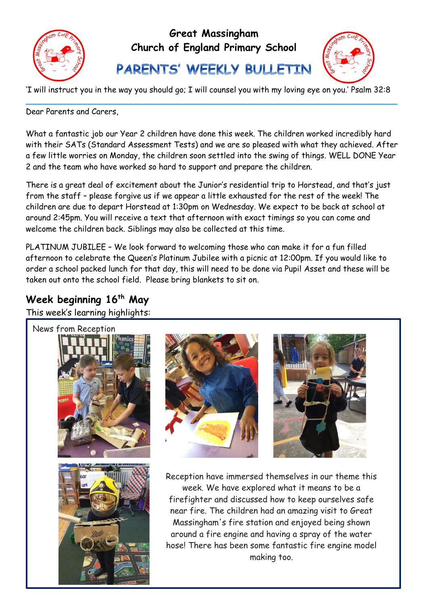

## **Great Massingham Church of England Primary School**

PARENTS' WEEKLY BULLETIN



'I will instruct you in the way you should go; I will counsel you with my loving eye on you.' Psalm 32:8 \_\_\_\_\_\_\_\_\_\_\_\_\_\_\_\_\_\_\_\_\_\_\_\_\_\_\_\_\_\_\_\_\_\_\_\_\_\_\_\_\_\_\_\_\_\_\_\_\_\_\_\_\_\_\_\_\_\_\_\_\_\_\_\_\_\_\_\_\_\_\_\_\_\_\_

Dear Parents and Carers

What a fantastic job our Year 2 children have done this week. The children worked incredibly hard with their SATs (Standard Assessment Tests) and we are so pleased with what they achieved. After a few little worries on Monday, the children soon settled into the swing of things. WELL DONE Year 2 and the team who have worked so hard to support and prepare the children.

There is a great deal of excitement about the Junior's residential trip to Horstead, and that's just from the staff – please forgive us if we appear a little exhausted for the rest of the week! The children are due to depart Horstead at 1:30pm on Wednesday. We expect to be back at school at around 2:45pm. You will receive a text that afternoon with exact timings so you can come and welcome the children back. Siblings may also be collected at this time.

PLATINUM JUBILEE – We look forward to welcoming those who can make it for a fun filled afternoon to celebrate the Queen's Platinum Jubilee with a picnic at 12:00pm. If you would like to order a school packed lunch for that day, this will need to be done via Pupil Asset and these will be taken out onto the school field. Please bring blankets to sit on.

# **Week beginning 16th May**

This week's learning highlights:

I

Ξ







Reception have immersed themselves in our theme this week. We have explored what it means to be a firefighter and discussed how to keep ourselves safe near fire. The children had an amazing visit to Great Massingham's fire station and enjoyed being shown around a fire engine and having a spray of the water hose! There has been some fantastic fire engine model making too.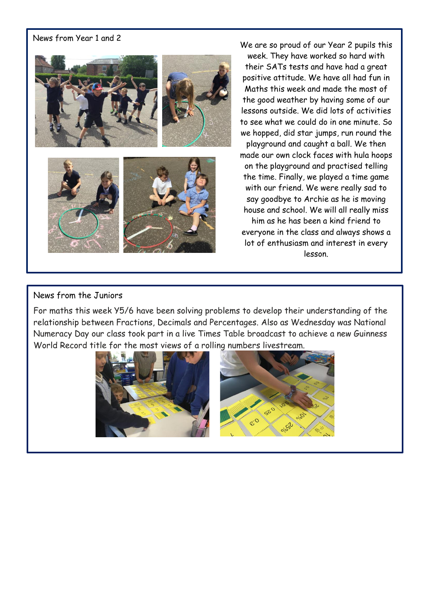#### News from Year 1 and 2



We are so proud of our Year 2 pupils this

week. They have worked so hard with their SATs tests and have had a great positive attitude. We have all had fun in Maths this week and made the most of the good weather by having some of our lessons outside. We did lots of activities to see what we could do in one minute. So we hopped, did star jumps, run round the playground and caught a ball. We then made our own clock faces with hula hoops

on the playground and practised telling the time. Finally, we played a time game with our friend. We were really sad to say goodbye to Archie as he is moving house and school. We will all really miss him as he has been a kind friend to everyone in the class and always shows a lot of enthusiasm and interest in every lesson.

#### News from the Juniors

For maths this week Y5/6 have been solving problems to develop their understanding of the relationship between Fractions, Decimals and Percentages. Also as Wednesday was National Numeracy Day our class took part in a live Times Table broadcast to achieve a new Guinness World Record title for the most views of a rolling numbers livestream.

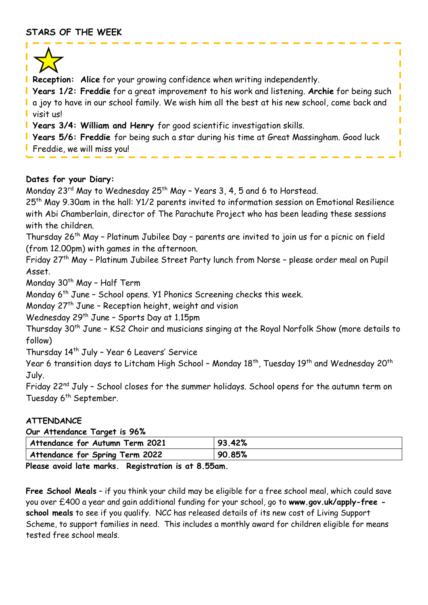

**Reception: Alice** for your growing confidence when writing independently.

**Years 1/2: Freddie** for a great improvement to his work and listening. **Archie** for being such I a joy to have in our school family. We wish him all the best at his new school, come back and visit us!

I Π Π

Ī

**Years 3/4: William and Henry** for good scientific investigation skills.

**Years 5/6: Freddie** for being such a star during his time at Great Massingham. Good luck **Freddie, we will miss you!** 

### **Dates for your Diary:**

Monday 23<sup>rd</sup> May to Wednesday 25<sup>th</sup> May - Years 3, 4, 5 and 6 to Horstead.

25th May 9.30am in the hall: Y1/2 parents invited to information session on Emotional Resilience with Abi Chamberlain, director of The Parachute Project who has been leading these sessions with the children.

Thursday 26<sup>th</sup> May - Platinum Jubilee Day - parents are invited to join us for a picnic on field (from 12.00pm) with games in the afternoon.

Friday 27th May – Platinum Jubilee Street Party lunch from Norse – please order meal on Pupil Asset.

Monday 30<sup>th</sup> May - Half Term

Monday 6<sup>th</sup> June - School opens. Y1 Phonics Screening checks this week.

Monday  $27<sup>th</sup>$  June - Reception height, weight and vision

Wednesday 29<sup>th</sup> June - Sports Day at 1.15pm

Thursday 30<sup>th</sup> June - KS2 Choir and musicians singing at the Royal Norfolk Show (more details to follow)

Thursday 14th July – Year 6 Leavers' Service

Year 6 transition days to Litcham High School - Monday 18<sup>th</sup>, Tuesday 19<sup>th</sup> and Wednesday 20<sup>th</sup> July.

Friday 22<sup>nd</sup> July - School closes for the summer holidays. School opens for the autumn term on Tuesday 6<sup>th</sup> September.

## **ATTENDANCE**

**Our Attendance Target is 96%**

| $\frac{1}{2}$                                                                   |        |
|---------------------------------------------------------------------------------|--------|
| Attendance for Autumn Term 2021                                                 | 93.42% |
| Attendance for Spring Term 2022                                                 | 90.85% |
| $\sim$<br>$\mathbf{r}$ , and $\mathbf{r}$ , and $\mathbf{r}$ , and $\mathbf{r}$ |        |

**Please avoid late marks. Registration is at 8.55am.**

**Free School Meals** – if you think your child may be eligible for a free school meal, which could save you over £400 a year and gain additional funding for your school, go to **www.gov.uk/apply-free school meals** to see if you qualify. NCC has released details of its new cost of Living Support Scheme, to support families in need. This includes a monthly award for children eligible for means tested free school meals.